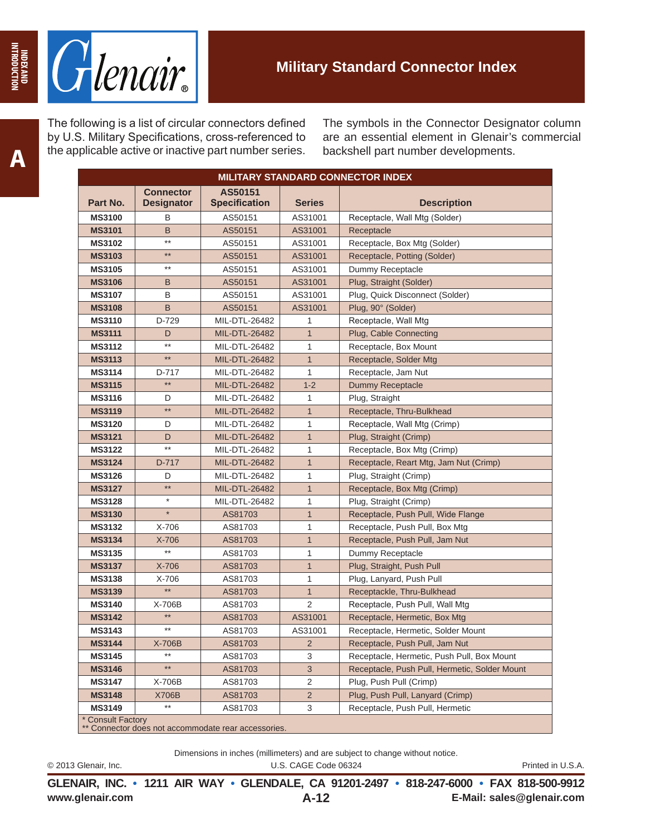

The following is a list of circular connectors defined by U.S. Military Specifications, cross-referenced to the applicable active or inactive part number series. The symbols in the Connector Designator column are an essential element in Glenair's commercial backshell part number developments.

| <b>MILITARY STANDARD CONNECTOR INDEX</b>                                 |                                       |                                 |                |                                               |  |
|--------------------------------------------------------------------------|---------------------------------------|---------------------------------|----------------|-----------------------------------------------|--|
| Part No.                                                                 | <b>Connector</b><br><b>Designator</b> | AS50151<br><b>Specification</b> | <b>Series</b>  | <b>Description</b>                            |  |
| <b>MS3100</b>                                                            | В                                     | AS50151                         | AS31001        | Receptacle, Wall Mtg (Solder)                 |  |
| <b>MS3101</b>                                                            | B                                     | AS50151                         | AS31001        | Receptacle                                    |  |
| <b>MS3102</b>                                                            | $***$                                 | AS50151                         | AS31001        | Receptacle, Box Mtg (Solder)                  |  |
| <b>MS3103</b>                                                            | $***$                                 | AS50151                         | AS31001        | Receptacle, Potting (Solder)                  |  |
| <b>MS3105</b>                                                            | $***$                                 | AS50151                         | AS31001        | Dummy Receptacle                              |  |
| <b>MS3106</b>                                                            | B                                     | AS50151                         | AS31001        | Plug, Straight (Solder)                       |  |
| <b>MS3107</b>                                                            | B                                     | AS50151                         | AS31001        | Plug, Quick Disconnect (Solder)               |  |
| <b>MS3108</b>                                                            | B                                     | AS50151                         | AS31001        | Plug, 90° (Solder)                            |  |
| <b>MS3110</b>                                                            | D-729                                 | MIL-DTL-26482                   | 1              | Receptacle, Wall Mtg                          |  |
| <b>MS3111</b>                                                            | D                                     | MIL-DTL-26482                   | $\mathbf{1}$   | Plug, Cable Connecting                        |  |
| <b>MS3112</b>                                                            | $***$                                 | MIL-DTL-26482                   | 1              | Receptacle, Box Mount                         |  |
| <b>MS3113</b>                                                            | $***$                                 | MIL-DTL-26482                   | $\mathbf{1}$   | Receptacle, Solder Mtg                        |  |
| <b>MS3114</b>                                                            | D-717                                 | MIL-DTL-26482                   | 1              | Receptacle, Jam Nut                           |  |
| <b>MS3115</b>                                                            | $**$                                  | MIL-DTL-26482                   | $1 - 2$        | Dummy Receptacle                              |  |
| <b>MS3116</b>                                                            | D                                     | MIL-DTL-26482                   | 1              | Plug, Straight                                |  |
| <b>MS3119</b>                                                            | $***$                                 | MIL-DTL-26482                   | $\mathbf{1}$   | Receptacle, Thru-Bulkhead                     |  |
| <b>MS3120</b>                                                            | D                                     | MIL-DTL-26482                   | 1              | Receptacle, Wall Mtg (Crimp)                  |  |
| <b>MS3121</b>                                                            | D                                     | MIL-DTL-26482                   | $\mathbf{1}$   | Plug, Straight (Crimp)                        |  |
| <b>MS3122</b>                                                            | $***$                                 | MIL-DTL-26482                   | 1              | Receptacle, Box Mtg (Crimp)                   |  |
| <b>MS3124</b>                                                            | D-717                                 | MIL-DTL-26482                   | $\mathbf{1}$   | Receptacle, Reart Mtg, Jam Nut (Crimp)        |  |
| <b>MS3126</b>                                                            | D                                     | MIL-DTL-26482                   | 1              | Plug, Straight (Crimp)                        |  |
| <b>MS3127</b>                                                            | $\star\star$                          | MIL-DTL-26482                   | $\mathbf{1}$   | Receptacle, Box Mtg (Crimp)                   |  |
| <b>MS3128</b>                                                            | $^\star$                              | MIL-DTL-26482                   | 1              | Plug, Straight (Crimp)                        |  |
| <b>MS3130</b>                                                            | $\ast$                                | AS81703                         | $\mathbf{1}$   | Receptacle, Push Pull, Wide Flange            |  |
| <b>MS3132</b>                                                            | X-706                                 | AS81703                         | 1              | Receptacle, Push Pull, Box Mtg                |  |
| <b>MS3134</b>                                                            | X-706                                 | AS81703                         | $\mathbf{1}$   | Receptacle, Push Pull, Jam Nut                |  |
| <b>MS3135</b>                                                            | $**$                                  | AS81703                         | 1              | Dummy Receptacle                              |  |
| <b>MS3137</b>                                                            | X-706                                 | AS81703                         | $\mathbf{1}$   | Plug, Straight, Push Pull                     |  |
| <b>MS3138</b>                                                            | X-706                                 | AS81703                         | 1              | Plug, Lanyard, Push Pull                      |  |
| <b>MS3139</b>                                                            | $***$                                 | AS81703                         | $\mathbf{1}$   | Receptackle, Thru-Bulkhead                    |  |
| <b>MS3140</b>                                                            | X-706B                                | AS81703                         | 2              | Receptacle, Push Pull, Wall Mtg               |  |
| <b>MS3142</b>                                                            | $***$                                 | AS81703                         | AS31001        | Receptacle, Hermetic, Box Mtg                 |  |
| <b>MS3143</b>                                                            | $***$                                 | AS81703                         | AS31001        | Receptacle, Hermetic, Solder Mount            |  |
| <b>MS3144</b>                                                            | X-706B                                | AS81703                         | $\overline{2}$ | Receptacle, Push Pull, Jam Nut                |  |
| <b>MS3145</b>                                                            | $***$                                 | AS81703                         | 3              | Receptacle, Hermetic, Push Pull, Box Mount    |  |
| <b>MS3146</b>                                                            | $^{\star\star}$                       | AS81703                         | $\sqrt{3}$     | Receptacle, Push Pull, Hermetic, Solder Mount |  |
| <b>MS3147</b>                                                            | X-706B                                | AS81703                         | $\overline{2}$ | Plug, Push Pull (Crimp)                       |  |
| <b>MS3148</b>                                                            | X706B                                 | AS81703                         | $\overline{2}$ | Plug, Push Pull, Lanyard (Crimp)              |  |
| <b>MS3149</b>                                                            | $***$                                 | AS81703                         | 3              | Receptacle, Push Pull, Hermetic               |  |
| * Consult Factory<br>** Connector does not accommodate rear accessories. |                                       |                                 |                |                                               |  |

Dimensions in inches (millimeters) and are subject to change without notice.

© 2013 Glenair, Inc. U.S. CAGE Code 06324 Printed in U.S.A.

**www.glenair.com E-Mail: sales@glenair.com GLENAIR, INC. • 1211 AIR WAY • GLENDALE, CA 91201-2497 • 818-247-6000 • FAX 818-500-9912 A-12**

**INDEX AND INTRODUCTION**

INDEX AND<br>INTRODUCTION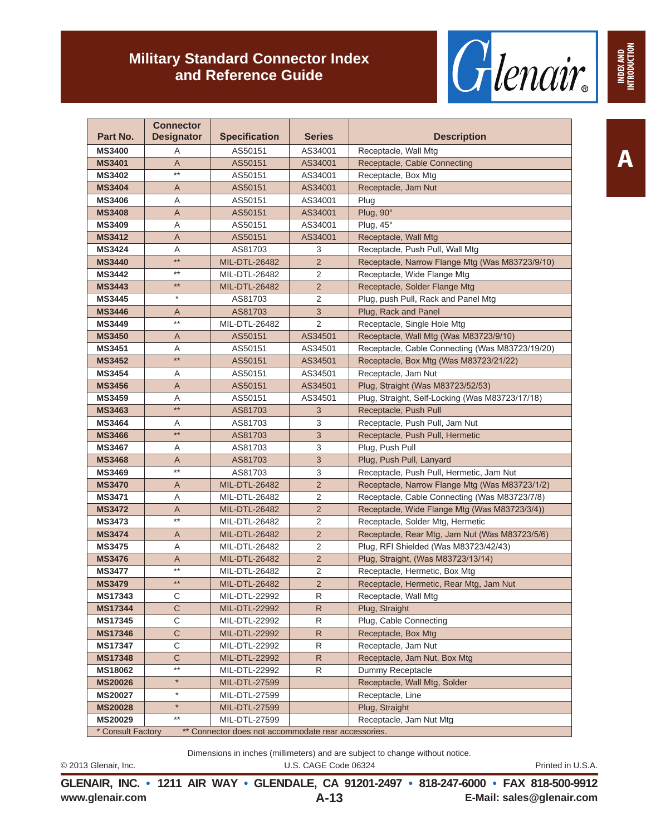

|               |                                       | <b>Military Standard Connector Index</b><br>and Reference Guide |                | Glenair                                         | <b>INDEX AND<br/>INTRODUCTION</b> |
|---------------|---------------------------------------|-----------------------------------------------------------------|----------------|-------------------------------------------------|-----------------------------------|
| Part No.      | <b>Connector</b><br><b>Designator</b> | <b>Specification</b>                                            | <b>Series</b>  | <b>Description</b>                              |                                   |
| <b>MS3400</b> | A                                     | AS50151                                                         | AS34001        | Receptacle, Wall Mtg                            |                                   |
| <b>MS3401</b> | A                                     | AS50151                                                         | AS34001        | Receptacle, Cable Connecting                    | A                                 |
| <b>MS3402</b> | $^{\star\star}$                       | AS50151                                                         | AS34001        | Receptacle, Box Mtg                             |                                   |
| <b>MS3404</b> | Α                                     | AS50151                                                         | AS34001        | Receptacle, Jam Nut                             |                                   |
| <b>MS3406</b> | Α                                     | AS50151                                                         | AS34001        | Plug                                            |                                   |
| <b>MS3408</b> | Α                                     | AS50151                                                         | AS34001        | Plug, $90^\circ$                                |                                   |
| <b>MS3409</b> | A                                     | AS50151                                                         | AS34001        | Plug, $45^\circ$                                |                                   |
| <b>MS3412</b> | A                                     | AS50151                                                         | AS34001        | Receptacle, Wall Mtg                            |                                   |
| <b>MS3424</b> | A                                     | AS81703                                                         | 3              | Receptacle, Push Pull, Wall Mtg                 |                                   |
| <b>MS3440</b> | $**$                                  | MIL-DTL-26482                                                   | $\overline{2}$ | Receptacle, Narrow Flange Mtg (Was M83723/9/10) |                                   |
| <b>MS3442</b> | $***$                                 | MIL-DTL-26482                                                   | 2              | Receptacle, Wide Flange Mtg                     |                                   |
| <b>MS3443</b> | $**$                                  | MIL-DTL-26482                                                   | $\overline{2}$ | Receptacle, Solder Flange Mtg                   |                                   |
| <b>MS3445</b> | $\star$                               | AS81703                                                         | 2              | Plug, push Pull, Rack and Panel Mtg             |                                   |
| <b>MS3446</b> | Α                                     | AS81703                                                         | $\mathbf{3}$   | Plug, Rack and Panel                            |                                   |
| <b>MS3449</b> | **                                    | MIL-DTL-26482                                                   | $\overline{2}$ | Receptacle, Single Hole Mtg                     |                                   |
| <b>MS3450</b> | A                                     | AS50151                                                         | AS34501        | Receptacle, Wall Mtg (Was M83723/9/10)          |                                   |
| <b>MS3451</b> | A                                     | AS50151                                                         | AS34501        | Receptacle, Cable Connecting (Was M83723/19/20) |                                   |
| <b>MS3452</b> | $***$                                 | AS50151                                                         | AS34501        | Receptacle, Box Mtg (Was M83723/21/22)          |                                   |
| <b>MS3454</b> | Α                                     | AS50151                                                         | AS34501        | Receptacle, Jam Nut                             |                                   |
| <b>MS3456</b> | A                                     | AS50151                                                         | AS34501        | Plug, Straight (Was M83723/52/53)               |                                   |
| <b>MS3459</b> | Α                                     | AS50151                                                         | AS34501        | Plug, Straight, Self-Locking (Was M83723/17/18) |                                   |
| <b>MS3463</b> | $\star\star$                          | AS81703                                                         | 3              | Receptacle, Push Pull                           |                                   |
| <b>MS3464</b> | A                                     | AS81703                                                         | 3              | Receptacle, Push Pull, Jam Nut                  |                                   |
| <b>MS3466</b> | $**$                                  | AS81703                                                         | 3              | Receptacle, Push Pull, Hermetic                 |                                   |
| <b>MS3467</b> | A                                     | AS81703                                                         | 3              | Plug, Push Pull                                 |                                   |
| <b>MS3468</b> | Α                                     | AS81703                                                         | $\mathfrak{S}$ | Plug, Push Pull, Lanyard                        |                                   |
| <b>MS3469</b> | $\star\star$                          | AS81703                                                         | 3              | Receptacle, Push Pull, Hermetic, Jam Nut        |                                   |
| <b>MS3470</b> | A                                     | MIL-DTL-26482                                                   | 2              | Receptacle, Narrow Flange Mtg (Was M83723/1/2)  |                                   |
| <b>MS3471</b> | A                                     | MIL-DTL-26482                                                   | 2              | Receptacle, Cable Connecting (Was M83723/7/8)   |                                   |
| <b>MS3472</b> | A                                     | MIL-DTL-26482                                                   | $\overline{2}$ | Receptacle, Wide Flange Mtg (Was M83723/3/4))   |                                   |
| <b>MS3473</b> | $^{\star\star}$                       | MIL-DTL-26482                                                   | 2              | Receptacle, Solder Mtg, Hermetic                |                                   |
| <b>MS3474</b> | A                                     | MIL-DTL-26482                                                   | $\overline{2}$ | Receptacle, Rear Mtg, Jam Nut (Was M83723/5/6)  |                                   |
| <b>MS3475</b> | Α                                     | MIL-DTL-26482                                                   | $\overline{2}$ | Plug, RFI Shielded (Was M83723/42/43)           |                                   |

**GLENAIR, INC. • 1211 AIR WAY • GLENDALE, CA 91201-2497 • 818-247-6000 • FAX 818-500-9912**

Dimensions in inches (millimeters) and are subject to change without notice. © 2013 Glenair, Inc. U.S. CAGE Code 06324 Printed in U.S.A.

**MS3476** A MIL-DTL-26482 2 Plug, Straight, (Was M83723/13/14) **MS3477** \*\* MIL-DTL-26482 2 Receptacle, Hermetic, Box Mtg

**MS17343** C MIL-DTL-22992 R Receptacle, Wall Mtg **MS17344** | C | MIL-DTL-22992 | R | Plug, Straight

MS17345 | C | MIL-DTL-22992 | R | Plug, Cable Connecting **MS17346** C MIL-DTL-22992 R Receptacle, Box Mtg **MS17347** C MIL-DTL-22992 R Receptacle, Jam Nut

**MS18062** \*\* MIL-DTL-22992 R Dummy Receptacle **MS20026** \* | MIL-DTL-27599 Receptacle, Wall Mtg, Solder

**MS20029 \*\*** MIL-DTL-27599 Receptacle, Jam Nut Mtg

**MS20027** \* | MIL-DTL-27599 Receptacle, Line **MS20028 \*** MIL-DTL-27599 **Plug, Straight** 

\* Consult Factory \*\* Connector does not accommodate rear accessories.

**MS17348** | C | MIL-DTL-22992 | R | Receptacle, Jam Nut, Box Mtg

**MS3479 \*\*** MIL-DTL-26482 **2** Receptacle, Hermetic, Rear Mtg, Jam Nut

**A-13**

**www.glenair.com E-Mail: sales@glenair.com**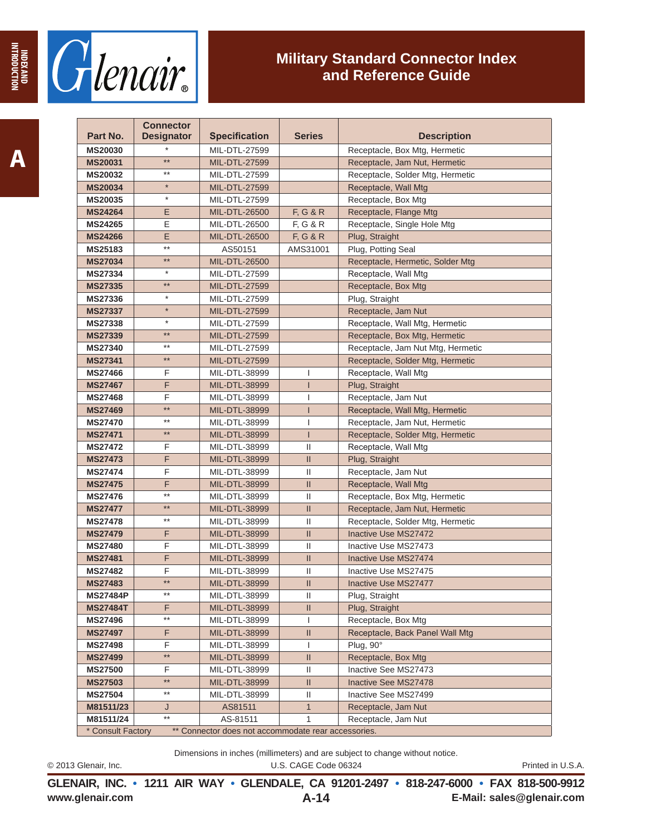

| Part No.                         | <b>Connector</b><br><b>Designator</b> | <b>Specification</b>                                | <b>Series</b>                                             | <b>Description</b>                   |
|----------------------------------|---------------------------------------|-----------------------------------------------------|-----------------------------------------------------------|--------------------------------------|
|                                  |                                       |                                                     |                                                           |                                      |
| <b>MS20030</b>                   | $***$                                 | MIL-DTL-27599                                       |                                                           | Receptacle, Box Mtg, Hermetic        |
| MS20031                          | $***$                                 | <b>MIL-DTL-27599</b>                                |                                                           | Receptacle, Jam Nut, Hermetic        |
| <b>MS20032</b>                   | $\star$                               | MIL-DTL-27599                                       |                                                           | Receptacle, Solder Mtg, Hermetic     |
| <b>MS20034</b>                   | $\star$                               | MIL-DTL-27599                                       |                                                           | Receptacle, Wall Mtg                 |
| <b>MS20035</b>                   |                                       | MIL-DTL-27599                                       |                                                           | Receptacle, Box Mtg                  |
| <b>MS24264</b><br><b>MS24265</b> | E<br>E                                | MIL-DTL-26500                                       | F, G & R<br>F, G & R                                      | Receptacle, Flange Mtg               |
| <b>MS24266</b>                   | E                                     | MIL-DTL-26500                                       |                                                           | Receptacle, Single Hole Mtg          |
| MS25183                          | $***$                                 | MIL-DTL-26500<br>AS50151                            | F, G & R<br>AMS31001                                      | Plug, Straight<br>Plug, Potting Seal |
| <b>MS27034</b>                   | $***$                                 | MIL-DTL-26500                                       |                                                           | Receptacle, Hermetic, Solder Mtg     |
| <b>MS27334</b>                   | $\star$                               | MIL-DTL-27599                                       |                                                           | Receptacle, Wall Mtg                 |
| <b>MS27335</b>                   | $***$                                 | MIL-DTL-27599                                       |                                                           | Receptacle, Box Mtg                  |
| <b>MS27336</b>                   | $\star$                               | MIL-DTL-27599                                       |                                                           | Plug, Straight                       |
| <b>MS27337</b>                   | $\star$                               | MIL-DTL-27599                                       |                                                           | Receptacle, Jam Nut                  |
| <b>MS27338</b>                   | $\star$                               | MIL-DTL-27599                                       |                                                           | Receptacle, Wall Mtg, Hermetic       |
| <b>MS27339</b>                   | $***$                                 | MIL-DTL-27599                                       |                                                           | Receptacle, Box Mtg, Hermetic        |
| <b>MS27340</b>                   | $***$                                 | MIL-DTL-27599                                       |                                                           | Receptacle, Jam Nut Mtg, Hermetic    |
| <b>MS27341</b>                   | $***$                                 | MIL-DTL-27599                                       |                                                           | Receptacle, Solder Mtg, Hermetic     |
| <b>MS27466</b>                   | F                                     | MIL-DTL-38999                                       | I                                                         | Receptacle, Wall Mtg                 |
| <b>MS27467</b>                   | F.                                    | MIL-DTL-38999                                       | $\mathsf{I}$                                              | Plug, Straight                       |
| <b>MS27468</b>                   | F                                     | MIL-DTL-38999                                       | I                                                         | Receptacle, Jam Nut                  |
| <b>MS27469</b>                   | $***$                                 | MIL-DTL-38999                                       | I                                                         | Receptacle, Wall Mtg, Hermetic       |
| <b>MS27470</b>                   | $***$                                 | MIL-DTL-38999                                       | T                                                         | Receptacle, Jam Nut, Hermetic        |
| <b>MS27471</b>                   | $***$                                 | MIL-DTL-38999                                       | ı                                                         | Receptacle, Solder Mtg, Hermetic     |
| <b>MS27472</b>                   | F                                     | MIL-DTL-38999                                       | Ш                                                         | Receptacle, Wall Mtg                 |
| <b>MS27473</b>                   | F                                     | MIL-DTL-38999                                       | Ш                                                         | Plug, Straight                       |
| <b>MS27474</b>                   | F                                     | MIL-DTL-38999                                       | Ш                                                         | Receptacle, Jam Nut                  |
| <b>MS27475</b>                   | F                                     | MIL-DTL-38999                                       | Ш                                                         | Receptacle, Wall Mtg                 |
| <b>MS27476</b>                   | $***$                                 | MIL-DTL-38999                                       | Ш                                                         | Receptacle, Box Mtg, Hermetic        |
| <b>MS27477</b>                   | $***$                                 | MIL-DTL-38999                                       | Ш                                                         | Receptacle, Jam Nut, Hermetic        |
| <b>MS27478</b>                   | $***$                                 | MIL-DTL-38999                                       | Ш                                                         | Receptacle, Solder Mtg, Hermetic     |
| <b>MS27479</b>                   | F                                     | MIL-DTL-38999                                       | II.                                                       | Inactive Use MS27472                 |
| <b>MS27480</b>                   | F                                     | MIL-DTL-38999                                       | Ш                                                         | Inactive Use MS27473                 |
| <b>MS27481</b>                   | F                                     | MIL-DTL-38999                                       | $\mathbf{II}$                                             | Inactive Use MS27474                 |
| <b>MS27482</b>                   | F                                     | MIL-DTL-38999                                       | $\mathbf{H}$                                              | Inactive Use MS27475                 |
| <b>MS27483</b>                   | $***$                                 | MIL-DTL-38999                                       | Ш                                                         | Inactive Use MS27477                 |
| <b>MS27484P</b>                  | $***$                                 | MIL-DTL-38999                                       | Ш                                                         | Plug, Straight                       |
| MS27484T                         | F<br>$***$                            | MIL-DTL-38999                                       | Ш.                                                        | Plug, Straight                       |
| <b>MS27496</b>                   |                                       | MIL-DTL-38999                                       | L                                                         | Receptacle, Box Mtg                  |
| <b>MS27497</b>                   | F                                     | MIL-DTL-38999                                       | Ш                                                         | Receptacle, Back Panel Wall Mtg      |
| MS27498<br><b>MS27499</b>        | F<br>**                               | MIL-DTL-38999                                       | L<br>$\mathbf{  }$                                        | Plug, 90°<br>Receptacle, Box Mtg     |
| <b>MS27500</b>                   | F                                     | MIL-DTL-38999<br>MIL-DTL-38999                      | Ш                                                         | Inactive See MS27473                 |
| <b>MS27503</b>                   | $***$                                 | MIL-DTL-38999                                       | $\label{eq:1} \prod_{i=1}^n \mathbb{I}^i_{\mathcal{M}_i}$ | Inactive See MS27478                 |
| <b>MS27504</b>                   | $***$                                 | MIL-DTL-38999                                       | Ш                                                         | Inactive See MS27499                 |
| M81511/23                        | J                                     | AS81511                                             | $\mathbf{1}$                                              | Receptacle, Jam Nut                  |
| M81511/24                        | $^{\star\star}$                       | AS-81511                                            | 1                                                         | Receptacle, Jam Nut                  |
| * Consult Factory                |                                       | ** Connector does not accommodate rear accessories. |                                                           |                                      |

Dimensions in inches (millimeters) and are subject to change without notice.

© 2013 Glenair, Inc. U.S. CAGE Code 06324 Printed in U.S.A.

**www.glenair.com E-Mail: sales@glenair.com GLENAIR, INC. • 1211 AIR WAY • GLENDALE, CA 91201-2497 • 818-247-6000 • FAX 818-500-9912 A-14**

**INDEX AND INTRODUCTION**

**MOLLONGOBLANI**<br>GNY X3GNI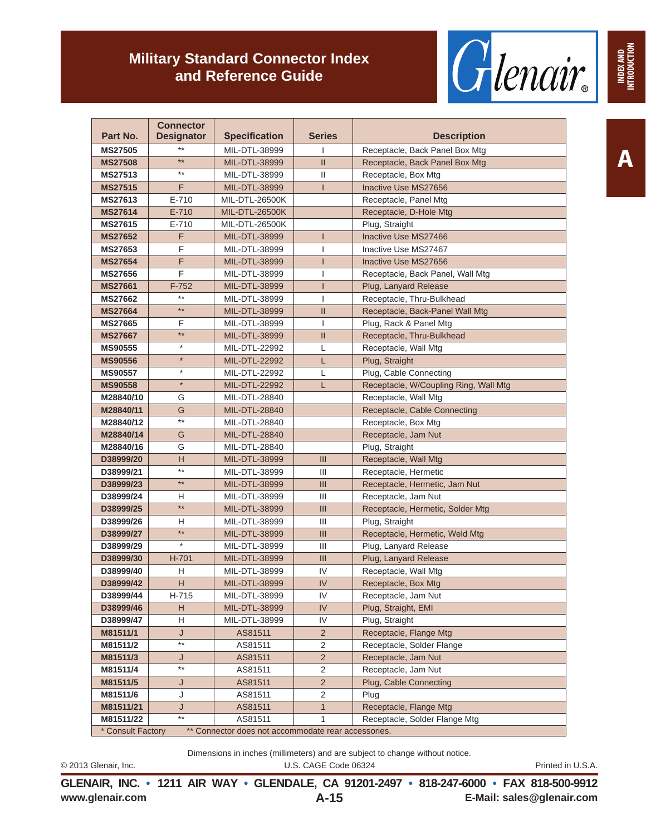

| Part No.                                                                 | <b>Connector</b><br><b>Designator</b> | <b>Specification</b> | <b>Series</b> | <b>Description</b>                    |  |
|--------------------------------------------------------------------------|---------------------------------------|----------------------|---------------|---------------------------------------|--|
| <b>MS27505</b>                                                           | $***$                                 | MIL-DTL-38999        | T             | Receptacle, Back Panel Box Mtg        |  |
| <b>MS27508</b>                                                           | $***$                                 | MIL-DTL-38999        | $\mathbf{II}$ | Receptacle, Back Panel Box Mtg        |  |
| MS27513                                                                  | $***$                                 | MIL-DTL-38999        | Ш             | Receptacle, Box Mtg                   |  |
| <b>MS27515</b>                                                           | F                                     | MIL-DTL-38999        | L             | Inactive Use MS27656                  |  |
| MS27613                                                                  | $E - 710$                             | MIL-DTL-26500K       |               | Receptacle, Panel Mtg                 |  |
| <b>MS27614</b>                                                           | $E - 710$                             | MIL-DTL-26500K       |               | Receptacle, D-Hole Mtg                |  |
| <b>MS27615</b>                                                           | $E - 710$                             | MIL-DTL-26500K       |               | Plug, Straight                        |  |
| <b>MS27652</b>                                                           | F                                     | MIL-DTL-38999        |               | Inactive Use MS27466                  |  |
| <b>MS27653</b>                                                           | F                                     | MIL-DTL-38999        |               | Inactive Use MS27467                  |  |
| <b>MS27654</b>                                                           | F                                     | MIL-DTL-38999        | ı             | Inactive Use MS27656                  |  |
| <b>MS27656</b>                                                           | F                                     | MIL-DTL-38999        |               | Receptacle, Back Panel, Wall Mtg      |  |
| <b>MS27661</b>                                                           | $F-752$                               | MIL-DTL-38999        | T             | Plug, Lanyard Release                 |  |
| <b>MS27662</b>                                                           | $^{\star\star}$                       | MIL-DTL-38999        | ı             | Receptacle, Thru-Bulkhead             |  |
| <b>MS27664</b>                                                           | $***$                                 | MIL-DTL-38999        | $\mathbf{II}$ | Receptacle, Back-Panel Wall Mtg       |  |
| <b>MS27665</b>                                                           | F                                     | MIL-DTL-38999        | ı             | Plug, Rack & Panel Mtg                |  |
| <b>MS27667</b>                                                           | $**$                                  | MIL-DTL-38999        | $\mathbf{H}$  | Receptacle, Thru-Bulkhead             |  |
| <b>MS90555</b>                                                           | $\star$                               | MIL-DTL-22992        | L             | Receptacle, Wall Mtg                  |  |
| <b>MS90556</b>                                                           | $\star$                               | MIL-DTL-22992        | L             | Plug, Straight                        |  |
| <b>MS90557</b>                                                           | $\star$                               | MIL-DTL-22992        | L             | Plug, Cable Connecting                |  |
| <b>MS90558</b>                                                           | $\star$                               | MIL-DTL-22992        | L             | Receptacle, W/Coupling Ring, Wall Mtg |  |
| M28840/10                                                                | G                                     | MIL-DTL-28840        |               | Receptacle, Wall Mtg                  |  |
| M28840/11                                                                | G                                     | MIL-DTL-28840        |               | Receptacle, Cable Connecting          |  |
| M28840/12                                                                | $^{\star\star}$                       | MIL-DTL-28840        |               | Receptacle, Box Mtg                   |  |
| M28840/14                                                                | G                                     | MIL-DTL-28840        |               | Receptacle, Jam Nut                   |  |
| M28840/16                                                                | G                                     | MIL-DTL-28840        |               | Plug, Straight                        |  |
| D38999/20                                                                | н                                     | MIL-DTL-38999        | III           | Receptacle, Wall Mtg                  |  |
| D38999/21                                                                | $^{\star\star}$                       | MIL-DTL-38999        | Ш             | Receptacle, Hermetic                  |  |
| D38999/23                                                                | $***$                                 | MIL-DTL-38999        | III           | Receptacle, Hermetic, Jam Nut         |  |
| D38999/24                                                                | H                                     | MIL-DTL-38999        | Ш             | Receptacle, Jam Nut                   |  |
| D38999/25                                                                | $**$                                  | MIL-DTL-38999        | III           | Receptacle, Hermetic, Solder Mtg      |  |
| D38999/26                                                                | н                                     | MIL-DTL-38999        | Ш             | Plug, Straight                        |  |
| D38999/27                                                                | $**$                                  | MIL-DTL-38999        | III           | Receptacle, Hermetic, Weld Mtg        |  |
| D38999/29                                                                | $\star$                               | MIL-DTL-38999        | Ш             | Plug, Lanyard Release                 |  |
| D38999/30                                                                | $H-701$                               | MIL-DTL-38999        | III           | Plug, Lanyard Release                 |  |
| D38999/40                                                                | н                                     | MIL-DTL-38999        | IV            | Receptacle, Wall Mtg                  |  |
| D38999/42                                                                | H                                     | MIL-DTL-38999        | IV            | Receptacle, Box Mtg                   |  |
| D38999/44                                                                | H-715                                 | MIL-DTL-38999        | IV            | Receptacle, Jam Nut                   |  |
| D38999/46                                                                | Н                                     | MIL-DTL-38999        | IV            | Plug, Straight, EMI                   |  |
| D38999/47                                                                | Η                                     | MIL-DTL-38999        | IV            | Plug, Straight                        |  |
| M81511/1                                                                 | J                                     | AS81511              | $\sqrt{2}$    | Receptacle, Flange Mtg                |  |
| M81511/2                                                                 | $^{\star\star}$                       | AS81511              | $\sqrt{2}$    | Receptacle, Solder Flange             |  |
| M81511/3                                                                 | J                                     | AS81511              | $\sqrt{2}$    | Receptacle, Jam Nut                   |  |
| M81511/4                                                                 | **                                    | AS81511              | $\sqrt{2}$    | Receptacle, Jam Nut                   |  |
| M81511/5                                                                 | J                                     | AS81511              | $\sqrt{2}$    | Plug, Cable Connecting                |  |
| M81511/6                                                                 | J                                     | AS81511              | $\sqrt{2}$    | Plug                                  |  |
| M81511/21                                                                | J                                     | AS81511              | $\mathbf{1}$  | Receptacle, Flange Mtg                |  |
| M81511/22                                                                | $^{\star\star}$                       | AS81511              | 1             | Receptacle, Solder Flange Mtg         |  |
| * Consult Factory<br>** Connector does not accommodate rear accessories. |                                       |                      |               |                                       |  |

Dimensions in inches (millimeters) and are subject to change without notice.

© 2013 Glenair, Inc. U.S. CAGE Code 06324 Printed in U.S.A.

**www.glenair.com E-Mail: sales@glenair.com GLENAIR, INC. • 1211 AIR WAY • GLENDALE, CA 91201-2497 • 818-247-6000 • FAX 818-500-9912 A-15**

**A**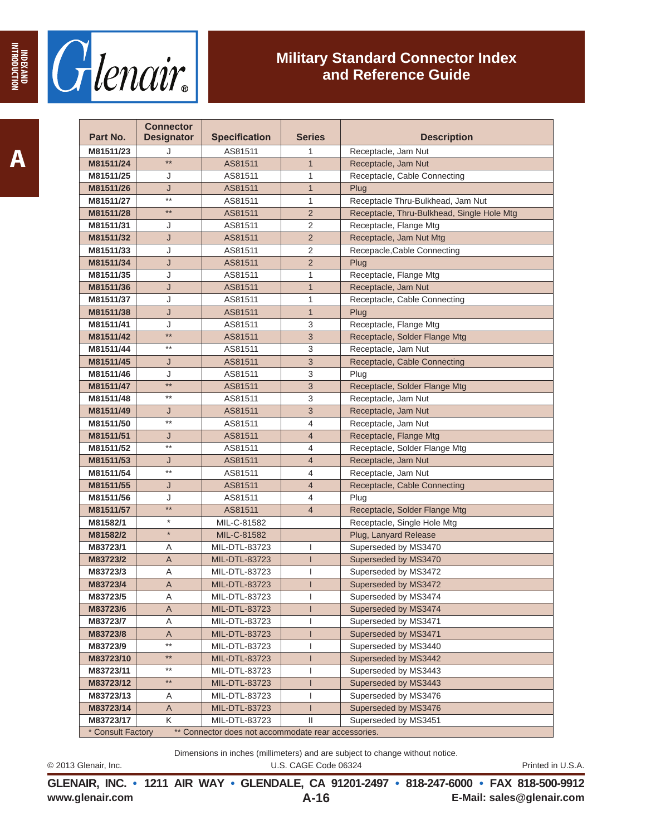

| Part No.          | <b>Connector</b><br><b>Designator</b> | <b>Specification</b>                                | <b>Series</b>  | <b>Description</b>                         |
|-------------------|---------------------------------------|-----------------------------------------------------|----------------|--------------------------------------------|
| M81511/23         | J                                     | AS81511                                             | 1              | Receptacle, Jam Nut                        |
| M81511/24         | $***$                                 | AS81511                                             | $\mathbf{1}$   | Receptacle, Jam Nut                        |
| M81511/25         | J                                     | AS81511                                             | 1              | Receptacle, Cable Connecting               |
| M81511/26         | J                                     | AS81511                                             | $\mathbf{1}$   | Plug                                       |
| M81511/27         | $***$                                 | AS81511                                             | 1              | Receptacle Thru-Bulkhead, Jam Nut          |
| M81511/28         | $***$                                 | AS81511                                             | $\overline{2}$ | Receptacle, Thru-Bulkhead, Single Hole Mtg |
| M81511/31         | J                                     | AS81511                                             | 2              | Receptacle, Flange Mtg                     |
| M81511/32         | J                                     | AS81511                                             | $\overline{2}$ | Receptacle, Jam Nut Mtg                    |
| M81511/33         | J                                     | AS81511                                             | 2              | Recepacle, Cable Connecting                |
| M81511/34         | J                                     | AS81511                                             | $\overline{2}$ | Plug                                       |
| M81511/35         | J                                     | AS81511                                             | 1              | Receptacle, Flange Mtg                     |
| M81511/36         | J                                     | AS81511                                             | $\mathbf{1}$   | Receptacle, Jam Nut                        |
| M81511/37         | J                                     | AS81511                                             | 1              | Receptacle, Cable Connecting               |
| M81511/38         | J                                     | AS81511                                             | $\mathbf{1}$   | Plug                                       |
| M81511/41         | J                                     | AS81511                                             | 3              | Receptacle, Flange Mtg                     |
| M81511/42         | $**$                                  | AS81511                                             | 3              | Receptacle, Solder Flange Mtg              |
| M81511/44         | $***$                                 | AS81511                                             | 3              | Receptacle, Jam Nut                        |
| M81511/45         | J                                     | AS81511                                             | 3              | Receptacle, Cable Connecting               |
| M81511/46         | J                                     | AS81511                                             | 3              | Plug                                       |
| M81511/47         | $***$                                 | AS81511                                             | 3              | Receptacle, Solder Flange Mtg              |
| M81511/48         | $***$                                 | AS81511                                             | 3              | Receptacle, Jam Nut                        |
| M81511/49         | J                                     | AS81511                                             | 3              | Receptacle, Jam Nut                        |
| M81511/50         | $***$                                 | AS81511                                             | $\overline{4}$ | Receptacle, Jam Nut                        |
| M81511/51         | J                                     | AS81511                                             | $\overline{4}$ | Receptacle, Flange Mtg                     |
| M81511/52         | $***$                                 | AS81511                                             | 4              | Receptacle, Solder Flange Mtg              |
| M81511/53         | J                                     | AS81511                                             | $\overline{4}$ | Receptacle, Jam Nut                        |
| M81511/54         | $***$                                 | AS81511                                             | 4              | Receptacle, Jam Nut                        |
| M81511/55         | J                                     | AS81511                                             | $\overline{4}$ | Receptacle, Cable Connecting               |
| M81511/56         | J                                     | AS81511                                             | 4              | Plug                                       |
| M81511/57         | $***$                                 | AS81511                                             | $\overline{4}$ | Receptacle, Solder Flange Mtg              |
| M81582/1          | $\star$                               | MIL-C-81582                                         |                | Receptacle, Single Hole Mtg                |
| M81582/2          | $\star$                               | MIL-C-81582                                         |                | Plug, Lanyard Release                      |
| M83723/1          | Α                                     | MIL-DTL-83723                                       | 1              | Superseded by MS3470                       |
| M83723/2          | Α                                     | MIL-DTL-83723                                       | $\mathsf{I}$   | Superseded by MS3470                       |
| M83723/3          | Α                                     | MIL-DTL-83723                                       | 1              | Superseded by MS3472                       |
| M83723/4          | Α                                     | MIL-DTL-83723                                       |                | Superseded by MS3472                       |
| M83723/5          | Α                                     | MIL-DTL-83723                                       |                | Superseded by MS3474                       |
| M83723/6          | Α                                     | MIL-DTL-83723                                       | $\mathsf{I}$   | Superseded by MS3474                       |
| M83723/7          | Α                                     | MIL-DTL-83723                                       | ı              | Superseded by MS3471                       |
| M83723/8          | Α                                     | MIL-DTL-83723                                       | $\mathsf{I}$   | Superseded by MS3471                       |
| M83723/9          | $***$                                 | MIL-DTL-83723                                       | 1              | Superseded by MS3440                       |
| M83723/10         | **                                    | MIL-DTL-83723                                       | ı              | Superseded by MS3442                       |
| M83723/11         | **                                    | MIL-DTL-83723                                       |                | Superseded by MS3443                       |
| M83723/12         | **                                    | MIL-DTL-83723                                       | 1              | Superseded by MS3443                       |
| M83723/13         | Α                                     | MIL-DTL-83723                                       | I              | Superseded by MS3476                       |
| M83723/14         | Α                                     | MIL-DTL-83723                                       | $\mathsf{I}$   | Superseded by MS3476                       |
| M83723/17         | Κ                                     | MIL-DTL-83723                                       | Ш              | Superseded by MS3451                       |
| * Consult Factory |                                       | ** Connector does not accommodate rear accessories. |                |                                            |

Dimensions in inches (millimeters) and are subject to change without notice.

© 2013 Glenair, Inc. U.S. CAGE Code 06324 Printed in U.S.A.

**www.glenair.com E-Mail: sales@glenair.com GLENAIR, INC. • 1211 AIR WAY • GLENDALE, CA 91201-2497 • 818-247-6000 • FAX 818-500-9912 A-16**

**INDEX AND INTRODUCTION**

**INDITIONER AND**<br>ANA X30MI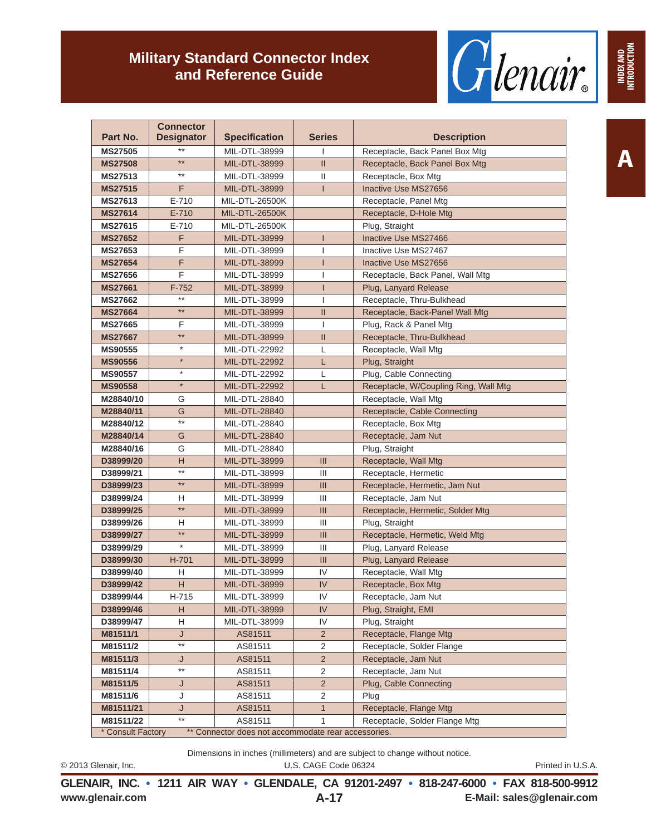

| Part No.       | <b>Connector</b><br><b>Designator</b> | <b>Specification</b>  | <b>Series</b>  | <b>Description</b>                    |
|----------------|---------------------------------------|-----------------------|----------------|---------------------------------------|
| <b>MS27505</b> |                                       | MIL-DTL-38999         |                | Receptacle, Back Panel Box Mtg        |
| <b>MS27508</b> | $***$                                 | MIL-DTL-38999         | $\mathbf{II}$  | Receptacle, Back Panel Box Mtg        |
| MS27513        | $***$                                 | MIL-DTL-38999         | Ш              | Receptacle, Box Mtg                   |
| <b>MS27515</b> | F                                     | MIL-DTL-38999         | L              | Inactive Use MS27656                  |
| <b>MS27613</b> | $E - 710$                             | MIL-DTL-26500K        |                | Receptacle, Panel Mtg                 |
| <b>MS27614</b> | $E - 710$                             | <b>MIL-DTL-26500K</b> |                | Receptacle, D-Hole Mtg                |
| <b>MS27615</b> | $E - 710$                             | MIL-DTL-26500K        |                | Plug, Straight                        |
| <b>MS27652</b> | F                                     | MIL-DTL-38999         |                | Inactive Use MS27466                  |
| <b>MS27653</b> | F                                     | MIL-DTL-38999         |                | Inactive Use MS27467                  |
| <b>MS27654</b> | F                                     | MIL-DTL-38999         | ı              | Inactive Use MS27656                  |
| <b>MS27656</b> | F                                     | MIL-DTL-38999         |                | Receptacle, Back Panel, Wall Mtg      |
| <b>MS27661</b> | $F-752$                               | MIL-DTL-38999         | ı              | Plug, Lanyard Release                 |
| <b>MS27662</b> | $^{\star\star}$                       | MIL-DTL-38999         |                | Receptacle, Thru-Bulkhead             |
| <b>MS27664</b> | $***$                                 | MIL-DTL-38999         | $\mathsf{I}$   | Receptacle, Back-Panel Wall Mtg       |
| <b>MS27665</b> | F                                     | MIL-DTL-38999         | ı              | Plug, Rack & Panel Mtg                |
| <b>MS27667</b> | $***$                                 | MIL-DTL-38999         | $\mathbf{II}$  | Receptacle, Thru-Bulkhead             |
| <b>MS90555</b> | $\star$                               | MIL-DTL-22992         | L              | Receptacle, Wall Mtg                  |
| <b>MS90556</b> | $\star$                               | MIL-DTL-22992         | L              | Plug, Straight                        |
| <b>MS90557</b> | $\star$                               | MIL-DTL-22992         | L              | Plug, Cable Connecting                |
| <b>MS90558</b> | $\star$                               | MIL-DTL-22992         | L              | Receptacle, W/Coupling Ring, Wall Mtg |
| M28840/10      | G                                     | MIL-DTL-28840         |                | Receptacle, Wall Mtg                  |
| M28840/11      | G                                     | MIL-DTL-28840         |                | Receptacle, Cable Connecting          |
| M28840/12      | $^{\star\star}$                       | MIL-DTL-28840         |                | Receptacle, Box Mtg                   |
| M28840/14      | G                                     | MIL-DTL-28840         |                | Receptacle, Jam Nut                   |
| M28840/16      | G                                     | MIL-DTL-28840         |                | Plug, Straight                        |
| D38999/20      | н                                     | MIL-DTL-38999         | III            | Receptacle, Wall Mtg                  |
| D38999/21      | $^{\star\star}$                       | MIL-DTL-38999         | Ш              | Receptacle, Hermetic                  |
| D38999/23      | $**$                                  | MIL-DTL-38999         | III            | Receptacle, Hermetic, Jam Nut         |
| D38999/24      | н                                     | MIL-DTL-38999         | Ш              | Receptacle, Jam Nut                   |
| D38999/25      | $**$                                  | MIL-DTL-38999         | III            | Receptacle, Hermetic, Solder Mtg      |
| D38999/26      | н                                     | MIL-DTL-38999         | Ш              | Plug, Straight                        |
| D38999/27      | $**$                                  | MIL-DTL-38999         | III            | Receptacle, Hermetic, Weld Mtg        |
| D38999/29      | $\star$                               | MIL-DTL-38999         | Ш              | Plug, Lanyard Release                 |
| D38999/30      | H-701                                 | MIL-DTL-38999         | III            | Plug, Lanyard Release                 |
| D38999/40      | H                                     | MIL-DTL-38999         | IV             | Receptacle, Wall Mtg                  |
| D38999/42      | H                                     | MIL-DTL-38999         | IV             | Receptacle, Box Mtg                   |
| D38999/44      | H-715                                 | MIL-DTL-38999         | IV             | Receptacle, Jam Nut                   |
| D38999/46      | Н                                     | MIL-DTL-38999         | IV             | Plug, Straight, EMI                   |
| D38999/47      | Н                                     | MIL-DTL-38999         | IV             | Plug, Straight                        |
| M81511/1       | J<br>$^{\star\star}$                  | AS81511               | $\overline{c}$ | Receptacle, Flange Mtg                |
| M81511/2       |                                       | AS81511               | $\sqrt{2}$     | Receptacle, Solder Flange             |
| M81511/3       | J<br>**                               | AS81511               | $\overline{c}$ | Receptacle, Jam Nut                   |
| M81511/4       |                                       | AS81511               | $\sqrt{2}$     | Receptacle, Jam Nut                   |
| M81511/5       | J                                     | AS81511               | $\overline{2}$ | Plug, Cable Connecting                |
| M81511/6       | J<br>J                                | AS81511<br>AS81511    | $\sqrt{2}$     | Plug<br>Receptacle, Flange Mtg        |
| M81511/21      | $***$                                 |                       | $\mathbf{1}$   | Receptacle, Solder Flange Mtg         |
| M81511/22      |                                       | AS81511               | 1              |                                       |

commodate rear ac

Dimensions in inches (millimeters) and are subject to change without notice.

© 2013 Glenair, Inc. U.S. CAGE Code 06324 Printed in U.S.A.

**www.glenair.com E-Mail: sales@glenair.com GLENAIR, INC. • 1211 AIR WAY • GLENDALE, CA 91201-2497 • 818-247-6000 • FAX 818-500-9912 A-17**

**INDEX AND<br>INTRODUCTION INTRODUCTION**